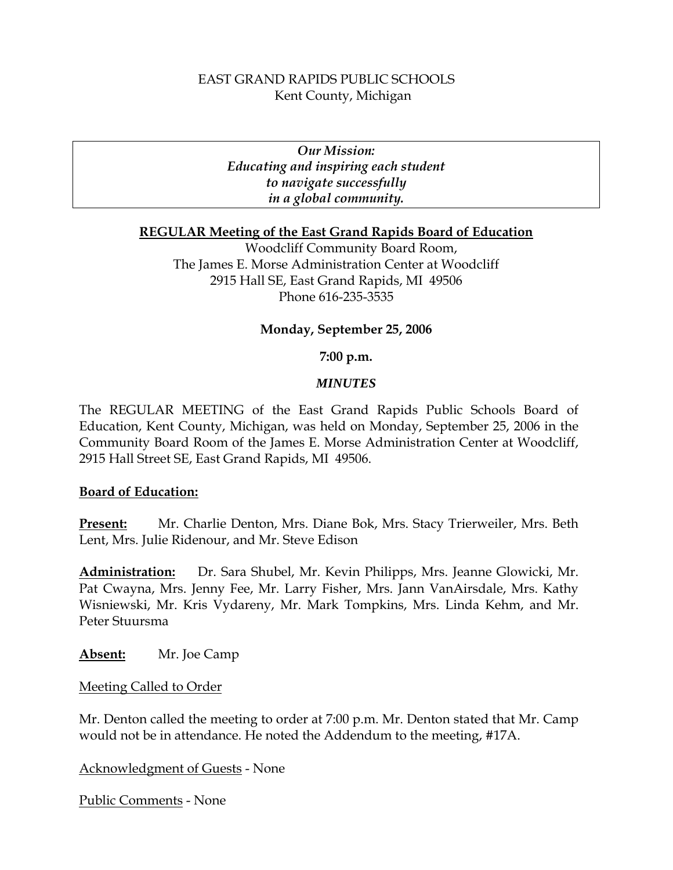# EAST GRAND RAPIDS PUBLIC SCHOOLS Kent County, Michigan

*Our Mission: Educating and inspiring each student to navigate successfully in a global community.* 

### **REGULAR Meeting of the East Grand Rapids Board of Education**

Woodcliff Community Board Room, The James E. Morse Administration Center at Woodcliff 2915 Hall SE, East Grand Rapids, MI 49506 Phone 616-235-3535

# **Monday, September 25, 2006**

### **7:00 p.m.**

### *MINUTES*

The REGULAR MEETING of the East Grand Rapids Public Schools Board of Education, Kent County, Michigan, was held on Monday, September 25, 2006 in the Community Board Room of the James E. Morse Administration Center at Woodcliff, 2915 Hall Street SE, East Grand Rapids, MI 49506.

### **Board of Education:**

**Present:** Mr. Charlie Denton, Mrs. Diane Bok, Mrs. Stacy Trierweiler, Mrs. Beth Lent, Mrs. Julie Ridenour, and Mr. Steve Edison

**Administration:** Dr. Sara Shubel, Mr. Kevin Philipps, Mrs. Jeanne Glowicki, Mr. Pat Cwayna, Mrs. Jenny Fee, Mr. Larry Fisher, Mrs. Jann VanAirsdale, Mrs. Kathy Wisniewski, Mr. Kris Vydareny, Mr. Mark Tompkins, Mrs. Linda Kehm, and Mr. Peter Stuursma

**Absent:** Mr. Joe Camp

Meeting Called to Order

Mr. Denton called the meeting to order at 7:00 p.m. Mr. Denton stated that Mr. Camp would not be in attendance. He noted the Addendum to the meeting, #17A.

Acknowledgment of Guests - None

Public Comments - None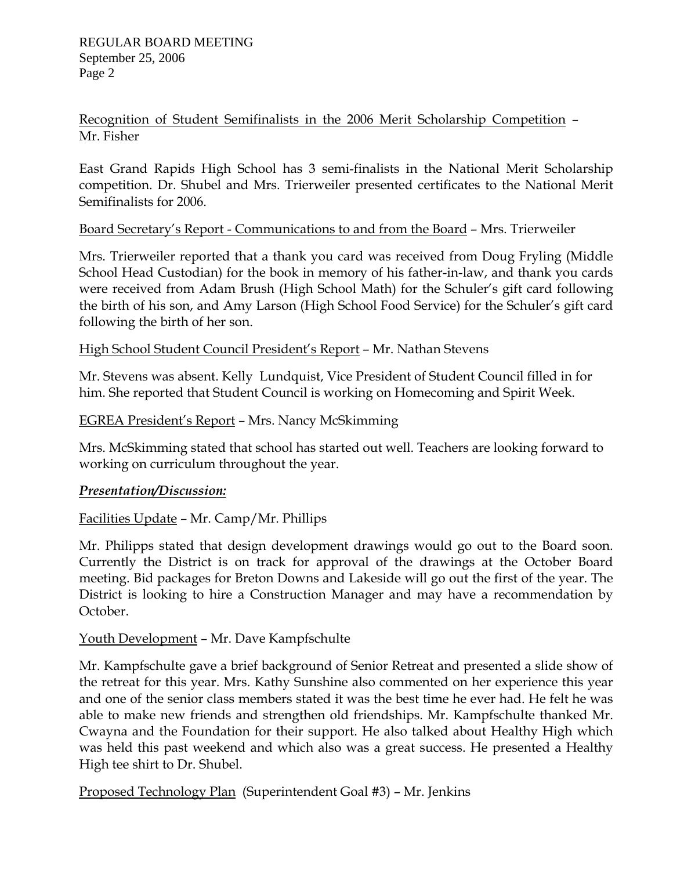Recognition of Student Semifinalists in the 2006 Merit Scholarship Competition – Mr. Fisher

East Grand Rapids High School has 3 semi-finalists in the National Merit Scholarship competition. Dr. Shubel and Mrs. Trierweiler presented certificates to the National Merit Semifinalists for 2006.

# Board Secretary's Report - Communications to and from the Board – Mrs. Trierweiler

Mrs. Trierweiler reported that a thank you card was received from Doug Fryling (Middle School Head Custodian) for the book in memory of his father-in-law, and thank you cards were received from Adam Brush (High School Math) for the Schuler's gift card following the birth of his son, and Amy Larson (High School Food Service) for the Schuler's gift card following the birth of her son.

# High School Student Council President's Report – Mr. Nathan Stevens

Mr. Stevens was absent. Kelly Lundquist, Vice President of Student Council filled in for him. She reported that Student Council is working on Homecoming and Spirit Week.

# EGREA President's Report – Mrs. Nancy McSkimming

Mrs. McSkimming stated that school has started out well. Teachers are looking forward to working on curriculum throughout the year.

# *Presentation/Discussion:*

# Facilities Update – Mr. Camp/Mr. Phillips

Mr. Philipps stated that design development drawings would go out to the Board soon. Currently the District is on track for approval of the drawings at the October Board meeting. Bid packages for Breton Downs and Lakeside will go out the first of the year. The District is looking to hire a Construction Manager and may have a recommendation by October.

# Youth Development – Mr. Dave Kampfschulte

Mr. Kampfschulte gave a brief background of Senior Retreat and presented a slide show of the retreat for this year. Mrs. Kathy Sunshine also commented on her experience this year and one of the senior class members stated it was the best time he ever had. He felt he was able to make new friends and strengthen old friendships. Mr. Kampfschulte thanked Mr. Cwayna and the Foundation for their support. He also talked about Healthy High which was held this past weekend and which also was a great success. He presented a Healthy High tee shirt to Dr. Shubel.

Proposed Technology Plan (Superintendent Goal #3) – Mr. Jenkins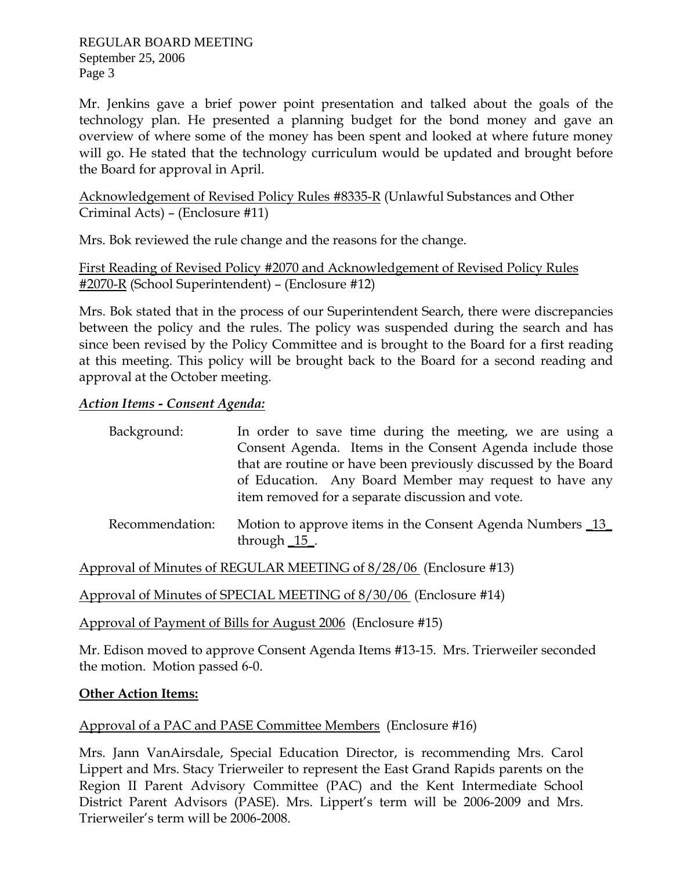REGULAR BOARD MEETING September 25, 2006 Page 3

Mr. Jenkins gave a brief power point presentation and talked about the goals of the technology plan. He presented a planning budget for the bond money and gave an overview of where some of the money has been spent and looked at where future money will go. He stated that the technology curriculum would be updated and brought before the Board for approval in April.

Acknowledgement of Revised Policy Rules #8335-R (Unlawful Substances and Other Criminal Acts) – (Enclosure #11)

Mrs. Bok reviewed the rule change and the reasons for the change.

First Reading of Revised Policy #2070 and Acknowledgement of Revised Policy Rules #2070-R (School Superintendent) – (Enclosure #12)

Mrs. Bok stated that in the process of our Superintendent Search, there were discrepancies between the policy and the rules. The policy was suspended during the search and has since been revised by the Policy Committee and is brought to the Board for a first reading at this meeting. This policy will be brought back to the Board for a second reading and approval at the October meeting.

# *Action Items - Consent Agenda:*

| Background: | In order to save time during the meeting, we are using a                                                                                                                                                                                    |
|-------------|---------------------------------------------------------------------------------------------------------------------------------------------------------------------------------------------------------------------------------------------|
|             | Consent Agenda. Items in the Consent Agenda include those                                                                                                                                                                                   |
|             |                                                                                                                                                                                                                                             |
|             | that are routine or have been previously discussed by the Board                                                                                                                                                                             |
|             | of Education. Any Board Member may request to have any                                                                                                                                                                                      |
|             | item removed for a separate discussion and vote.                                                                                                                                                                                            |
|             | $\mathbf{D}_{\text{in}}$ and $\mathbf{L}_{\text{in}}$ is a set of $\mathbf{M}_{\text{out}}$ is a sequence in the $\mathbf{C}_{\text{in}}$ and $\mathbf{A}_{\text{out}}$ and $\mathbf{M}_{\text{out}}$ is a set of $\mathbf{D}_{\text{out}}$ |

Recommendation: Motion to approve items in the Consent Agenda Numbers 13 through \_15\_.

Approval of Minutes of REGULAR MEETING of 8/28/06 (Enclosure #13)

Approval of Minutes of SPECIAL MEETING of 8/30/06 (Enclosure #14)

Approval of Payment of Bills for August 2006 (Enclosure #15)

Mr. Edison moved to approve Consent Agenda Items #13-15. Mrs. Trierweiler seconded the motion. Motion passed 6-0.

# **Other Action Items:**

# Approval of a PAC and PASE Committee Members (Enclosure #16)

Mrs. Jann VanAirsdale, Special Education Director, is recommending Mrs. Carol Lippert and Mrs. Stacy Trierweiler to represent the East Grand Rapids parents on the Region II Parent Advisory Committee (PAC) and the Kent Intermediate School District Parent Advisors (PASE). Mrs. Lippert's term will be 2006-2009 and Mrs. Trierweiler's term will be 2006-2008.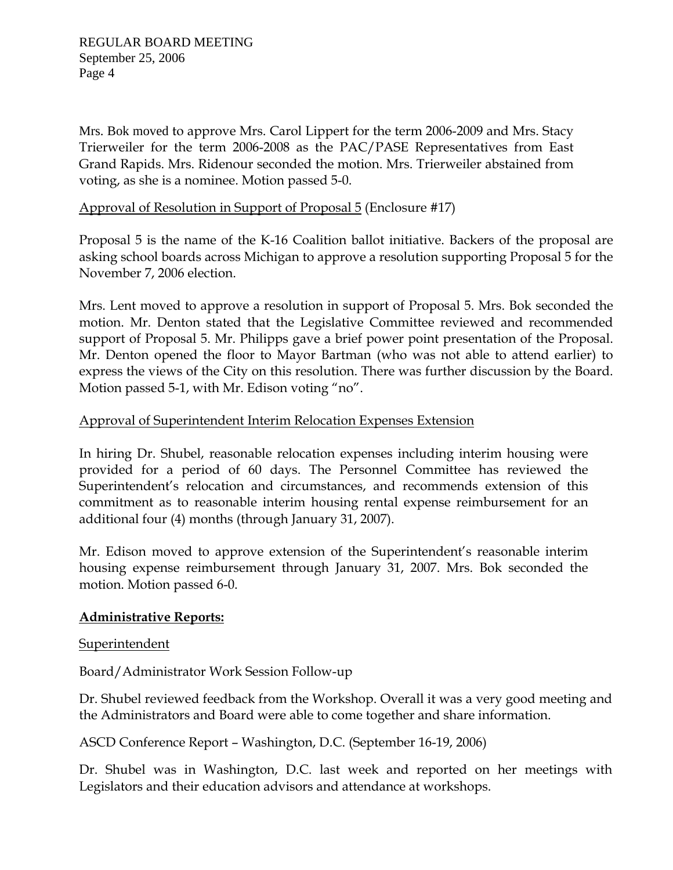Mrs. Bok moved to approve Mrs. Carol Lippert for the term 2006-2009 and Mrs. Stacy Trierweiler for the term 2006-2008 as the PAC/PASE Representatives from East Grand Rapids. Mrs. Ridenour seconded the motion. Mrs. Trierweiler abstained from voting, as she is a nominee. Motion passed 5-0.

# Approval of Resolution in Support of Proposal 5 (Enclosure #17)

Proposal 5 is the name of the K-16 Coalition ballot initiative. Backers of the proposal are asking school boards across Michigan to approve a resolution supporting Proposal 5 for the November 7, 2006 election.

Mrs. Lent moved to approve a resolution in support of Proposal 5. Mrs. Bok seconded the motion. Mr. Denton stated that the Legislative Committee reviewed and recommended support of Proposal 5. Mr. Philipps gave a brief power point presentation of the Proposal. Mr. Denton opened the floor to Mayor Bartman (who was not able to attend earlier) to express the views of the City on this resolution. There was further discussion by the Board. Motion passed 5-1, with Mr. Edison voting "no".

# Approval of Superintendent Interim Relocation Expenses Extension

In hiring Dr. Shubel, reasonable relocation expenses including interim housing were provided for a period of 60 days. The Personnel Committee has reviewed the Superintendent's relocation and circumstances, and recommends extension of this commitment as to reasonable interim housing rental expense reimbursement for an additional four (4) months (through January 31, 2007).

Mr. Edison moved to approve extension of the Superintendent's reasonable interim housing expense reimbursement through January 31, 2007. Mrs. Bok seconded the motion. Motion passed 6-0.

# **Administrative Reports:**

# **Superintendent**

Board/Administrator Work Session Follow-up

Dr. Shubel reviewed feedback from the Workshop. Overall it was a very good meeting and the Administrators and Board were able to come together and share information.

ASCD Conference Report – Washington, D.C. (September 16-19, 2006)

Dr. Shubel was in Washington, D.C. last week and reported on her meetings with Legislators and their education advisors and attendance at workshops.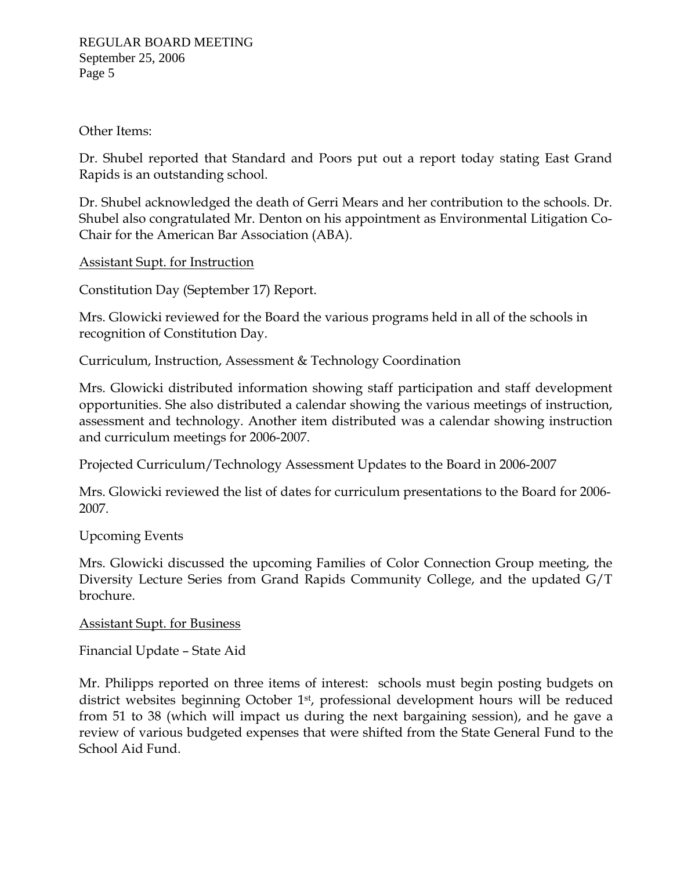Other Items:

Dr. Shubel reported that Standard and Poors put out a report today stating East Grand Rapids is an outstanding school.

Dr. Shubel acknowledged the death of Gerri Mears and her contribution to the schools. Dr. Shubel also congratulated Mr. Denton on his appointment as Environmental Litigation Co-Chair for the American Bar Association (ABA).

Assistant Supt. for Instruction

Constitution Day (September 17) Report.

Mrs. Glowicki reviewed for the Board the various programs held in all of the schools in recognition of Constitution Day.

Curriculum, Instruction, Assessment & Technology Coordination

Mrs. Glowicki distributed information showing staff participation and staff development opportunities. She also distributed a calendar showing the various meetings of instruction, assessment and technology. Another item distributed was a calendar showing instruction and curriculum meetings for 2006-2007.

Projected Curriculum/Technology Assessment Updates to the Board in 2006-2007

Mrs. Glowicki reviewed the list of dates for curriculum presentations to the Board for 2006- 2007.

# Upcoming Events

Mrs. Glowicki discussed the upcoming Families of Color Connection Group meeting, the Diversity Lecture Series from Grand Rapids Community College, and the updated G/T brochure.

# Assistant Supt. for Business

Financial Update – State Aid

Mr. Philipps reported on three items of interest: schools must begin posting budgets on district websites beginning October 1<sup>st</sup>, professional development hours will be reduced from 51 to 38 (which will impact us during the next bargaining session), and he gave a review of various budgeted expenses that were shifted from the State General Fund to the School Aid Fund.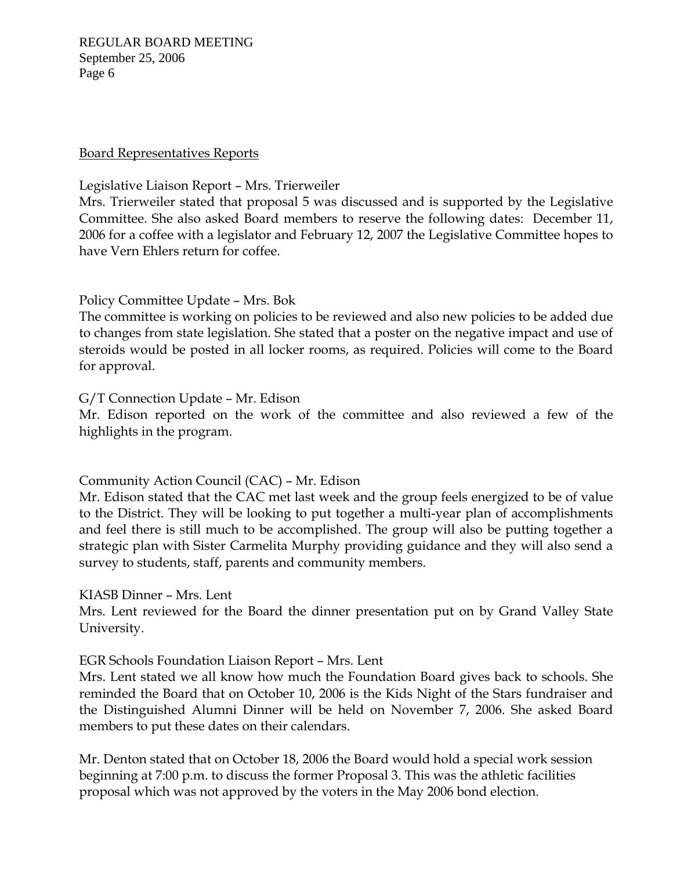REGULAR BOARD MEETING September 25, 2006 Page 6

### Board Representatives Reports

### Legislative Liaison Report – Mrs. Trierweiler

Mrs. Trierweiler stated that proposal 5 was discussed and is supported by the Legislative Committee. She also asked Board members to reserve the following dates: December 11, 2006 for a coffee with a legislator and February 12, 2007 the Legislative Committee hopes to have Vern Ehlers return for coffee.

# Policy Committee Update – Mrs. Bok

The committee is working on policies to be reviewed and also new policies to be added due to changes from state legislation. She stated that a poster on the negative impact and use of steroids would be posted in all locker rooms, as required. Policies will come to the Board for approval.

# G/T Connection Update – Mr. Edison

Mr. Edison reported on the work of the committee and also reviewed a few of the highlights in the program.

# Community Action Council (CAC) – Mr. Edison

Mr. Edison stated that the CAC met last week and the group feels energized to be of value to the District. They will be looking to put together a multi-year plan of accomplishments and feel there is still much to be accomplished. The group will also be putting together a strategic plan with Sister Carmelita Murphy providing guidance and they will also send a survey to students, staff, parents and community members.

# KIASB Dinner – Mrs. Lent

Mrs. Lent reviewed for the Board the dinner presentation put on by Grand Valley State University.

# EGR Schools Foundation Liaison Report – Mrs. Lent

Mrs. Lent stated we all know how much the Foundation Board gives back to schools. She reminded the Board that on October 10, 2006 is the Kids Night of the Stars fundraiser and the Distinguished Alumni Dinner will be held on November 7, 2006. She asked Board members to put these dates on their calendars.

Mr. Denton stated that on October 18, 2006 the Board would hold a special work session beginning at 7:00 p.m. to discuss the former Proposal 3. This was the athletic facilities proposal which was not approved by the voters in the May 2006 bond election.